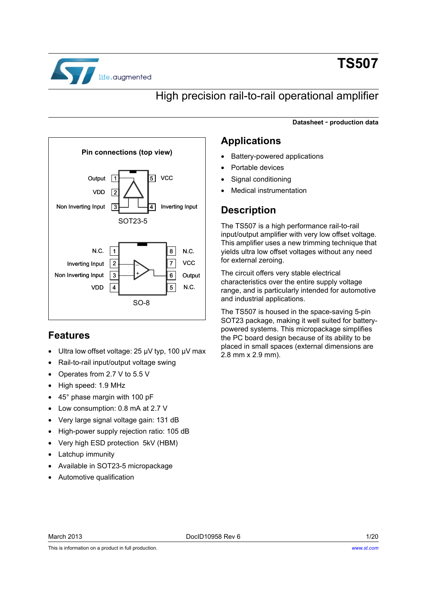

# **TS507**

### High precision rail-to-rail operational amplifier

**Datasheet** - **production data**



### <span id="page-0-0"></span>**Features**

- Ultra low offset voltage: 25 µV typ, 100 µV max
- Rail-to-rail input/output voltage swing
- Operates from 2.7 V to 5.5 V
- High speed: 1.9 MHz
- 45° phase margin with 100 pF
- Low consumption: 0.8 mA at 2.7 V
- Very large signal voltage gain: 131 dB
- High-power supply rejection ratio: 105 dB
- Very high ESD protection 5kV (HBM)
- Latchup immunity
- Available in SOT23-5 micropackage
- Automotive qualification

### **Applications**

- Battery-powered applications
- Portable devices
- Signal conditioning
- Medical instrumentation

### **Description**

The TS507 is a high performance rail-to-rail input/output amplifier with very low offset voltage. This amplifier uses a new trimming technique that yields ultra low offset voltages without any need for external zeroing.

The circuit offers very stable electrical characteristics over the entire supply voltage range, and is particularly intended for automotive and industrial applications.

The TS507 is housed in the space-saving 5-pin SOT23 package, making it well suited for batterypowered systems. This micropackage simplifies the PC board design because of its ability to be placed in small spaces (external dimensions are 2.8 mm x 2.9 mm).

This is information on a product in full production.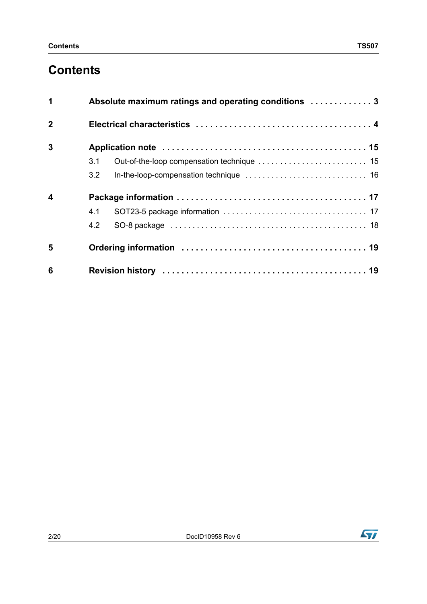# **Contents**

| 1                       |     | Absolute maximum ratings and operating conditions  3 |  |  |  |  |
|-------------------------|-----|------------------------------------------------------|--|--|--|--|
| $\overline{2}$          |     |                                                      |  |  |  |  |
| 3                       |     |                                                      |  |  |  |  |
|                         | 3.1 |                                                      |  |  |  |  |
|                         | 3.2 |                                                      |  |  |  |  |
| $\overline{\mathbf{4}}$ |     |                                                      |  |  |  |  |
|                         | 4.1 |                                                      |  |  |  |  |
|                         | 4.2 |                                                      |  |  |  |  |
| 5                       |     |                                                      |  |  |  |  |
| 6                       |     |                                                      |  |  |  |  |

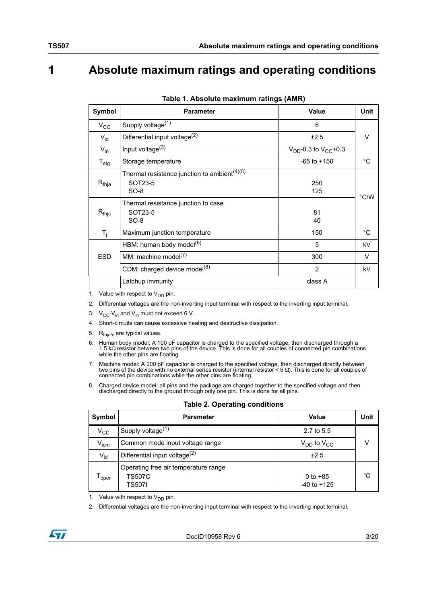# <span id="page-2-0"></span>**1 Absolute maximum ratings and operating conditions**

| <b>Symbol</b>     | <b>Parameter</b>                                                              | Value                          | <b>Unit</b>    |
|-------------------|-------------------------------------------------------------------------------|--------------------------------|----------------|
| $V_{\rm CC}$      | Supply voltage $(1)$                                                          | 6                              |                |
| $V_{id}$          | Differential input voltage <sup>(2)</sup>                                     | ±2.5                           | V              |
| $V_{in}$          | Input voltage <sup>(3)</sup>                                                  | $V_{DD}$ -0.3 to $V_{CC}$ +0.3 |                |
| $T_{\text{stg}}$  | Storage temperature                                                           | $-65$ to $+150$                | $^{\circ}$ C   |
| $R_{thja}$        | Thermal resistance junction to ambient <sup>(4)(5)</sup><br>SOT23-5<br>$SO-8$ | 250<br>125                     | $^{\circ}$ C/W |
| $R_{\text{thic}}$ | Thermal resistance junction to case<br>SOT23-5<br>$SO-8$                      | 81<br>40                       |                |
| $T_i$             | Maximum junction temperature                                                  | 150                            | °C             |
|                   | HBM: human body model <sup>(6)</sup>                                          | 5                              | kV             |
| <b>ESD</b>        | MM: machine model $^{(7)}$                                                    | 300                            | V              |
|                   | CDM: charged device model <sup>(8)</sup>                                      | $\overline{2}$                 | kV             |
|                   | Latchup immunity                                                              | class A                        |                |

**Table 1. Absolute maximum ratings (AMR)**

1. Value with respect to  $V_{DD}$  pin.

- 2. Differential voltages are the non-inverting input terminal with respect to the inverting input terminal.
- 3.  $V_{CC}$ - $V_{in}$  and  $V_{in}$  must not exceed 6 V.
- 4. Short-circuits can cause excessive heating and destructive dissipation.
- 5.  $R_{thja/c}$  are typical values.
- 6. Human body model: A 100 pF capacitor is charged to the specified voltage, then discharged through a 1.5 kΩ resistor between two pins of the device. This is done for all couples of connected pin combinations while the other pins are floating.
- 7. Machine model: A 200 pF capacitor is charged to the specified voltage, then discharged directly between two pins of the device with no external series resistor (internal resistor < 5 Ω). This is done for all couples of connected pin combinations while the other pins are floating.
- 8. Charged device model: all pins and the package are charged together to the specified voltage and then discharged directly to the ground through only one pin. This is done for all pins.

| Symbol           | <b>Parameter</b>                                                | Value                         | Unit |
|------------------|-----------------------------------------------------------------|-------------------------------|------|
| $\rm v_{cc}$     | Supply voltage <sup>(1)</sup>                                   | 2.7 to 5.5                    |      |
| $V_{\text{icm}}$ | Common mode input voltage range                                 | $V_{DD}$ to $V_{CC}$          |      |
| $V_{id}$         | Differential input voltage $^{(2)}$                             | ±2.5                          |      |
| oper             | Operating free air temperature range<br><b>TS507C</b><br>TS507I | 0 to $+85$<br>$-40$ to $+125$ | °C   |

#### **Table 2. Operating conditions**

1. Value with respect to  $V_{DD}$  pin.

2. Differential voltages are the non-inverting input terminal with respect to the inverting input terminal.

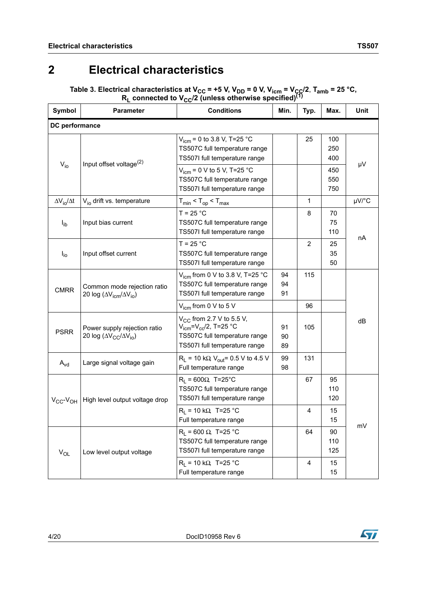# <span id="page-3-0"></span>**2 Electrical characteristics**

Table 3. Electrical characteristics at V<sub>CC</sub> = +5 V, V<sub>DD</sub> = 0 V, V<sub>icm</sub> = V<sub>ÇC</sub>/2, T<sub>amb</sub> = 25 °C,  $R_L$  connected to V<sub>CC</sub>/2 (unless otherwise specified)<sup>(1)</sup>

| Symbol                          | <b>Parameter</b>                                                         | <b>Conditions</b>                                                                                                                 | Min.           | Typ.           | Max.              | Unit  |  |  |
|---------------------------------|--------------------------------------------------------------------------|-----------------------------------------------------------------------------------------------------------------------------------|----------------|----------------|-------------------|-------|--|--|
| DC performance                  |                                                                          |                                                                                                                                   |                |                |                   |       |  |  |
|                                 |                                                                          | $V_{\text{icm}}$ = 0 to 3.8 V, T=25 °C<br>TS507C full temperature range<br>TS507I full temperature range                          |                | 25             | 100<br>250<br>400 |       |  |  |
| $V_{i0}$                        | Input offset voltage <sup>(2)</sup>                                      | $V_{icm}$ = 0 V to 5 V, T=25 °C<br>TS507C full temperature range<br>TS507I full temperature range                                 |                |                | 450<br>550<br>750 | μV    |  |  |
| $\Delta V_{\text{io}}/\Delta t$ | V <sub>io</sub> drift vs. temperature                                    | $T_{min}$ < $T_{op}$ < $T_{max}$                                                                                                  |                | 1              |                   | µV/°C |  |  |
| $I_{ib}$                        | Input bias current                                                       | $T = 25 °C$<br>TS507C full temperature range<br>TS507I full temperature range                                                     |                | 8              | 70<br>75<br>110   |       |  |  |
| $I_{\text{io}}$                 | Input offset current                                                     | $T = 25 °C$<br>TS507C full temperature range<br>TS507I full temperature range                                                     |                | $\overline{2}$ | 25<br>35<br>50    | nA    |  |  |
| <b>CMRR</b>                     | Common mode rejection ratio<br>20 log ( $\Delta V_{icm}/\Delta V_{io}$ ) | $V_{\text{icm}}$ from 0 V to 3.8 V, T=25 °C<br>TS507C full temperature range<br>TS507I full temperature range                     | 94<br>94<br>91 | 115            |                   |       |  |  |
|                                 |                                                                          | $V_{\text{icm}}$ from 0 V to 5 V                                                                                                  |                | 96             |                   |       |  |  |
| <b>PSRR</b>                     | Power supply rejection ratio<br>20 log ( $\Delta V_{CC}/\Delta V_{io}$ ) | $V_{CC}$ from 2.7 V to 5.5 V,<br>$V_{icm} = V_{cc}/2$ , T=25 °C<br>TS507C full temperature range<br>TS507I full temperature range | 91<br>90<br>89 | 105            |                   | dB    |  |  |
| $A_{vd}$                        | Large signal voltage gain                                                | $R_1$ = 10 kΩ V <sub>out</sub> = 0.5 V to 4.5 V<br>Full temperature range                                                         | 99<br>98       | 131            |                   |       |  |  |
| $V_{CC}$ - $V_{OH}$             | High level output voltage drop                                           | $R_1 = 600 \Omega$ , T=25°C<br>TS507C full temperature range<br>TS507I full temperature range                                     |                | 67             | 95<br>110<br>120  |       |  |  |
|                                 |                                                                          | $R_1$ = 10 kΩ, T=25 °C<br>Full temperature range                                                                                  |                | $\overline{4}$ | 15<br>15          | mV    |  |  |
| $\mathsf{V}_{\mathsf{OL}}$      | Low level output voltage                                                 | $R_1$ = 600 Ω, T=25 °C<br>TS507C full temperature range<br>TS507I full temperature range                                          |                | 64             | 90<br>110<br>125  |       |  |  |
|                                 |                                                                          | $R_1$ = 10 kΩ, T=25 °C<br>Full temperature range                                                                                  |                | 4              | 15<br>15          |       |  |  |

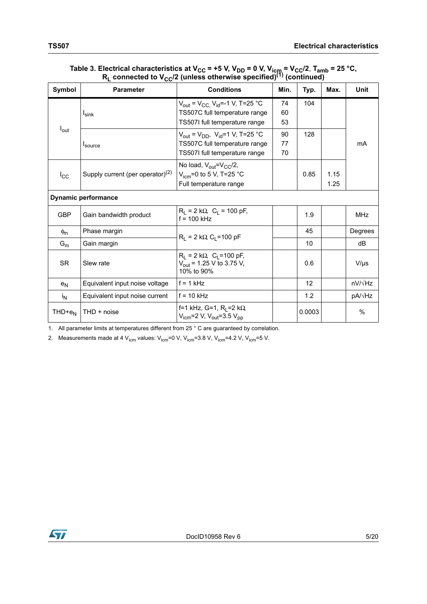| Symbol           | <b>Parameter</b>                    | <b>Conditions</b>                                                                                                                    | Min.           | Typ.   | Max.         | Unit           |
|------------------|-------------------------------------|--------------------------------------------------------------------------------------------------------------------------------------|----------------|--------|--------------|----------------|
|                  | $I_{\text{sink}}$                   | $V_{\text{out}} = V_{\text{CC}}$ , $V_{\text{id}} = -1$ V, T=25 °C<br>TS507C full temperature range<br>TS507I full temperature range | 74<br>60<br>53 | 104    |              |                |
| $I_{\text{out}}$ | <sup>I</sup> source                 | $V_{\text{out}} = V_{\text{DD}}$ , $V_{\text{id}} = 1$ V, T=25 °C<br>TS507C full temperature range<br>TS507I full temperature range  | 90<br>77<br>70 | 128    |              | mA             |
| $I_{\rm CC}$     | Supply current (per operator) $(2)$ | No load, $V_{\text{out}}=V_{\text{CC}}/2$ ,<br>$V_{icm}$ =0 to 5 V, T=25 °C<br>Full temperature range                                |                | 0.85   | 1.15<br>1.25 |                |
|                  | <b>Dynamic performance</b>          |                                                                                                                                      |                |        |              |                |
| <b>GBP</b>       | Gain bandwidth product              | $R_1 = 2 k\Omega$ , $C_1 = 100 pF$ ,<br>$f = 100$ kHz                                                                                |                | 1.9    |              | MHz            |
| $\phi_{m}$       | Phase margin                        | $R_1 = 2 k\Omega$ , C <sub>1</sub> =100 pF                                                                                           |                | 45     |              | Degrees        |
| $G_m$            | Gain margin                         |                                                                                                                                      |                | 10     |              | dB             |
| <b>SR</b>        | Slew rate                           | $R_1 = 2 k\Omega$ , $C_1 = 100 pF$ ,<br>$V_{\text{out}}$ = 1.25 V to 3.75 V,<br>10% to 90%                                           |                | 0.6    |              | $V/\mu s$      |
| e <sub>N</sub>   | Equivalent input noise voltage      | $f = 1$ kHz                                                                                                                          |                | 12     |              | $nV/\sqrt{Hz}$ |
| $i_{N}$          | Equivalent input noise current      | $f = 10$ kHz                                                                                                                         |                | 1.2    |              | $pA/\sqrt{Hz}$ |
| $THD+e_N$        | THD + noise                         | f=1 kHz, G=1, R <sub>I</sub> =2 kΩ<br>$V_{\text{icm}}$ =2 V, $V_{\text{out}}$ =3.5 $V_{\text{pp}}$                                   |                | 0.0003 |              | $\frac{0}{0}$  |

#### Table 3. Electrical characteristics at V<sub>CC</sub> = +5 V, V<sub>DD</sub> = 0 V, V<sub>icm</sub> = V<sub>CC</sub>/2, T<sub>amb</sub> = 25 °C, **RL connected to VCC/2 (unless otherwise specified)(1) (continued)**

1. All parameter limits at temperatures different from 25 ° C are guaranteed by correlation.

<span id="page-4-0"></span>2. Measurements made at 4  $V_{\text{icm}}$  values:  $V_{\text{icm}}$ =0 V,  $V_{\text{icm}}$ =3.8 V,  $V_{\text{icm}}$ =4.2 V,  $V_{\text{icm}}$ =5 V.

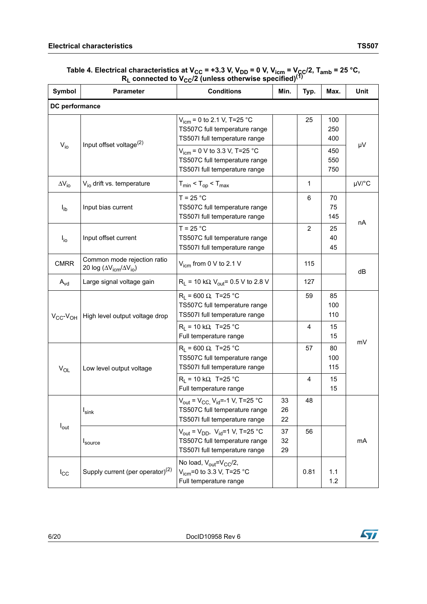#### Table 4. Electrical characteristics at V<sub>CC</sub> = +3.3 V, V<sub>DD</sub> = 0 V, V<sub>icm</sub> = V<sub>CC</sub>/2, T<sub>amb</sub> = 25 °C,  $R_L$  connected to V<sub>CC</sub>/2 (unless otherwise specified)<sup>(1)</sup>

| Symbol                      | <b>Parameter</b>                                                         | <b>Conditions</b>                                                                                                                    | Min.           | Typ.           | Max.              | Unit  |  |
|-----------------------------|--------------------------------------------------------------------------|--------------------------------------------------------------------------------------------------------------------------------------|----------------|----------------|-------------------|-------|--|
| DC performance              |                                                                          |                                                                                                                                      |                |                |                   |       |  |
| $V_{i0}$                    | Input offset voltage <sup>(2)</sup>                                      | $V_{\text{icm}}$ = 0 to 2.1 V, T=25 °C<br>TS507C full temperature range<br>TS507I full temperature range                             |                | 25             | 100<br>250<br>400 | μV    |  |
|                             |                                                                          | $V_{\text{icm}}$ = 0 V to 3.3 V, T=25 °C<br>TS507C full temperature range<br>TS507I full temperature range                           |                |                | 450<br>550<br>750 |       |  |
| $\Delta V_{\text{io}}$      | V <sub>io</sub> drift vs. temperature                                    | $T_{min}$ < $T_{op}$ < $T_{max}$                                                                                                     |                | 1              |                   | µV/°C |  |
| $I_{ib}$                    | Input bias current                                                       | $T = 25 °C$<br>TS507C full temperature range<br>TS507I full temperature range                                                        |                | 6              | 70<br>75<br>145   |       |  |
| $I_{io}$                    | Input offset current                                                     | $T = 25 °C$<br>TS507C full temperature range<br>TS507I full temperature range                                                        |                | 2              | 25<br>40<br>45    | nA    |  |
| <b>CMRR</b>                 | Common mode rejection ratio<br>20 log ( $\Delta V_{icm}/\Delta V_{io}$ ) | $V_{\text{icm}}$ from 0 V to 2.1 V                                                                                                   |                | 115            |                   | dB    |  |
| $A_{\text{vd}}$             | Large signal voltage gain                                                | $R_L$ = 10 kΩ V <sub>out</sub> = 0.5 V to 2.8 V                                                                                      |                | 127            |                   |       |  |
| $V_{\rm CC}$ - $V_{\rm OH}$ | High level output voltage drop                                           | $R_1$ = 600 Ω, T=25 °C<br>TS507C full temperature range<br>TS507I full temperature range                                             |                | 59             | 85<br>100<br>110  |       |  |
|                             |                                                                          | $R_1$ = 10 kΩ, T=25 °C<br>Full temperature range                                                                                     |                | $\overline{4}$ | 15<br>15          |       |  |
| $V_{OL}$                    | Low level output voltage                                                 | $R_1$ = 600 Ω, T=25 °C<br>TS507C full temperature range<br>TS507I full temperature range                                             |                | 57             | 80<br>100<br>115  | mV    |  |
|                             |                                                                          | $R_1$ = 10 kΩ, T=25 °C<br>Full temperature range                                                                                     |                | 4              | 15<br>15          |       |  |
|                             | $I_{\textsf{sink}}$                                                      | $V_{\text{out}} = V_{\text{CC}}$ , $V_{\text{id}} = -1$ V, T=25 °C<br>TS507C full temperature range<br>TS507I full temperature range | 33<br>26<br>22 | 48             |                   |       |  |
| $I_{\text{out}}$            | Isource                                                                  | $V_{\text{out}} = V_{\text{DD}}$ , $V_{\text{id}} = 1$ V, T=25 °C<br>TS507C full temperature range<br>TS507I full temperature range  | 37<br>32<br>29 | 56             |                   | mA    |  |
| $I_{\rm CC}$                | Supply current (per operator) <sup>(2)</sup>                             | No load, $V_{\text{out}}=V_{\text{CC}}/2$ ,<br>$V_{\text{icm}}$ =0 to 3.3 V, T=25 °C<br>Full temperature range                       |                | 0.81           | 1.1<br>$1.2$      |       |  |

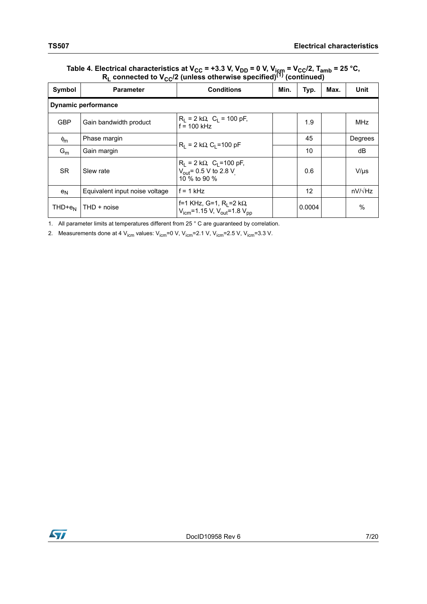### Table 4. Electrical characteristics at V<sub>CC</sub> = +3.3 V, V<sub>DD</sub> = 0 V, V<sub>icm</sub> = V<sub>CC</sub>/2, T<sub>amb</sub> = 25 °C, **RL connected to VCC/2 (unless otherwise specified)(1) (continued)**

|                | $-00 - 1$                      |                                                                                                  |      |        |      |                |  |
|----------------|--------------------------------|--------------------------------------------------------------------------------------------------|------|--------|------|----------------|--|
| Symbol         | <b>Parameter</b>               | <b>Conditions</b>                                                                                | Min. | Typ.   | Max. | Unit           |  |
|                | <b>Dynamic performance</b>     |                                                                                                  |      |        |      |                |  |
| <b>GBP</b>     | Gain bandwidth product         | $R_1 = 2 k\Omega$ , $C_1 = 100 pF$ ,<br>$f = 100$ kHz                                            |      | 1.9    |      | <b>MHz</b>     |  |
| $\phi_{m}$     | Phase margin                   | $R_1 = 2 k\Omega$ , C <sub>1</sub> =100 pF                                                       |      | 45     |      | Degrees        |  |
| $G_m$          | Gain margin                    |                                                                                                  |      | 10     |      | dB             |  |
| <b>SR</b>      | Slew rate                      | $R_L = 2 k\Omega$ , C <sub>L</sub> =100 pF,<br>$V_{\text{out}}$ = 0.5 V to 2.8 V<br>10 % to 90 % |      | 0.6    |      | $V/\mu s$      |  |
| e <sub>N</sub> | Equivalent input noise voltage | $f = 1$ kHz                                                                                      |      | 12     |      | $nV/\sqrt{Hz}$ |  |
| $THD+e_N$      | THD + noise                    | f=1 KHz, G=1, R <sub>I</sub> =2 kΩ<br>$V_{icm}$ =1.15 V, $V_{out}$ =1.8 $V_{pp}$                 |      | 0.0004 |      | $\%$           |  |

1. All parameter limits at temperatures different from 25 ° C are guaranteed by correlation.

<span id="page-6-0"></span>2. Measurements done at 4  $V_{\text{icm}}$  values:  $V_{\text{icm}}$ =0 V,  $V_{\text{icm}}$ =2.1 V,  $V_{\text{icm}}$ =2.5 V,  $V_{\text{icm}}$ =3.3 V.

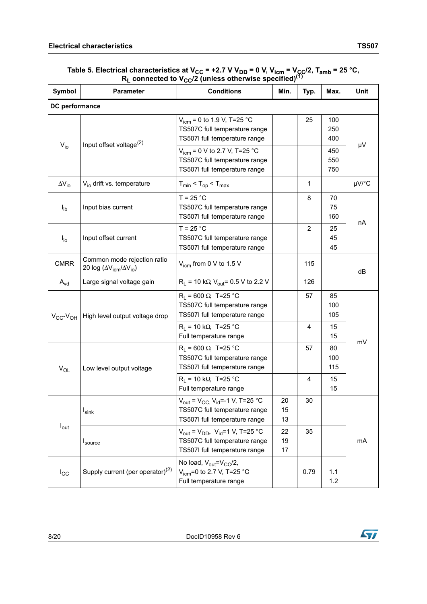#### Table 5. Electrical characteristics at V<sub>CC</sub> = +2.7 V V<sub>DD</sub> = 0 V, V<sub>icm</sub> = V<sub>CC</sub>/2, T<sub>amb</sub> = 25 °C,  $R_L$  connected to V<sub>CC</sub>/2 (unless otherwise specified)<sup>(1)</sup>

| Symbol                      | <b>Parameter</b>                                                         | <b>Conditions</b>                                                                                                                    | Min.           | Typ.           | Max.              | Unit  |  |
|-----------------------------|--------------------------------------------------------------------------|--------------------------------------------------------------------------------------------------------------------------------------|----------------|----------------|-------------------|-------|--|
| DC performance              |                                                                          |                                                                                                                                      |                |                |                   |       |  |
| $V_{io}$                    | Input offset voltage <sup>(2)</sup>                                      | $V_{icm}$ = 0 to 1.9 V, T=25 °C<br>TS507C full temperature range<br>TS507I full temperature range                                    |                | 25             | 100<br>250<br>400 |       |  |
|                             |                                                                          | $V_{icm}$ = 0 V to 2.7 V, T=25 °C<br>TS507C full temperature range<br>TS507I full temperature range                                  |                |                | 450<br>550<br>750 | μV    |  |
| $\Delta V_{\text{io}}$      | V <sub>io</sub> drift vs. temperature                                    | $T_{min}$ < $T_{op}$ < $T_{max}$                                                                                                     |                | 1              |                   | µV/°C |  |
| $I_{ib}$                    | Input bias current                                                       | $T = 25 °C$<br>TS507C full temperature range<br>TS507I full temperature range                                                        |                | 8              | 70<br>75<br>160   |       |  |
| $I_{io}$                    | Input offset current                                                     | $T = 25 °C$<br>TS507C full temperature range<br>TS507I full temperature range                                                        |                | $\overline{2}$ | 25<br>45<br>45    | nA    |  |
| <b>CMRR</b>                 | Common mode rejection ratio<br>20 log ( $\Delta V_{icm}/\Delta V_{io}$ ) | $V_{\text{icm}}$ from 0 V to 1.5 V                                                                                                   |                | 115            |                   | dB    |  |
| $A_{\text{vd}}$             | Large signal voltage gain                                                | $R_L$ = 10 k $\Omega$ , $V_{out}$ = 0.5 V to 2.2 V                                                                                   |                | 126            |                   |       |  |
| $V_{\rm CC}$ - $V_{\rm OH}$ | High level output voltage drop                                           | $R_1$ = 600 Ω, T=25 °C<br>TS507C full temperature range<br>TS507I full temperature range                                             |                | 57             | 85<br>100<br>105  |       |  |
|                             |                                                                          | $R_1$ = 10 kΩ, T=25 °C<br>Full temperature range                                                                                     |                | $\overline{4}$ | 15<br>15          |       |  |
| $V_{OL}$                    | Low level output voltage                                                 | $R_1 = 600 \Omega$ , T=25 °C<br>TS507C full temperature range<br>TS507I full temperature range                                       |                | 57             | 80<br>100<br>115  | mV    |  |
|                             |                                                                          | $R_1$ = 10 kΩ, T=25 °C<br>Full temperature range                                                                                     |                | 4              | 15<br>15          |       |  |
|                             | $I_{\textsf{sink}}$                                                      | $V_{\text{out}} = V_{\text{CC}}$ , $V_{\text{id}} = -1$ V, T=25 °C<br>TS507C full temperature range<br>TS507I full temperature range | 20<br>15<br>13 | 30             |                   |       |  |
| $I_{\text{out}}$            | Isource                                                                  | $V_{\text{out}} = V_{\text{DD}}$ , $V_{\text{id}} = 1$ V, T=25 °C<br>TS507C full temperature range<br>TS507I full temperature range  | 22<br>19<br>17 | 35             |                   | mA    |  |
| $I_{\rm CC}$                | Supply current (per operator) <sup>(2)</sup>                             | No load, $V_{\text{out}}=V_{\text{CC}}/2$ ,<br>$V_{icm}$ =0 to 2.7 V, T=25 °C<br>Full temperature range                              |                | 0.79           | 1.1<br>1.2        |       |  |

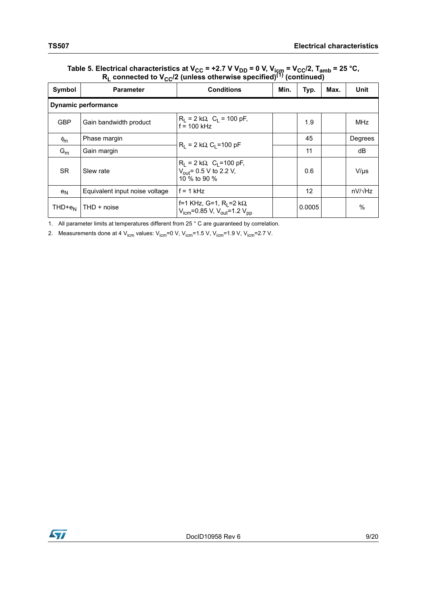### Table 5. Electrical characteristics at V<sub>CC</sub> = +2.7 V V<sub>DD</sub> = 0 V, V<sub>icm</sub> = V<sub>CC</sub>/2, T<sub>amb</sub> = 25 °C, **RL connected to VCC/2 (unless otherwise specified)(1) (continued)**

| $\mathbf{F} = \mathbf{F} \mathbf{F} \mathbf{F} \mathbf{F} \mathbf{F} \mathbf{F} \mathbf{F} \mathbf{F} \mathbf{F} \mathbf{F} \mathbf{F} \mathbf{F} \mathbf{F} \mathbf{F} \mathbf{F} \mathbf{F} \mathbf{F} \mathbf{F} \mathbf{F} \mathbf{F} \mathbf{F} \mathbf{F} \mathbf{F} \mathbf{F} \mathbf{F} \mathbf{F} \mathbf{F} \mathbf{F} \mathbf{F} \mathbf{F} \mathbf{F} \mathbf{F} \mathbf{F} \mathbf{F} \mathbf{F} \mathbf$<br>$\sim$ |                                |                                                                                            |      |        |      |                |  |
|-----------------------------------------------------------------------------------------------------------------------------------------------------------------------------------------------------------------------------------------------------------------------------------------------------------------------------------------------------------------------------------------------------------------------------------|--------------------------------|--------------------------------------------------------------------------------------------|------|--------|------|----------------|--|
| Symbol                                                                                                                                                                                                                                                                                                                                                                                                                            | <b>Parameter</b>               | <b>Conditions</b>                                                                          | Min. | Typ.   | Max. | <b>Unit</b>    |  |
|                                                                                                                                                                                                                                                                                                                                                                                                                                   | <b>Dynamic performance</b>     |                                                                                            |      |        |      |                |  |
| <b>GBP</b>                                                                                                                                                                                                                                                                                                                                                                                                                        | Gain bandwidth product         | $R_1 = 2 k\Omega$ , $C_1 = 100 pF$ ,<br>$f = 100$ kHz                                      |      | 1.9    |      | <b>MHz</b>     |  |
| $\phi_{\rm m}$                                                                                                                                                                                                                                                                                                                                                                                                                    | Phase margin                   | $R_1 = 2 k\Omega$ , C <sub>1</sub> =100 pF                                                 |      | 45     |      | Degrees        |  |
| $G_m$                                                                                                                                                                                                                                                                                                                                                                                                                             | Gain margin                    |                                                                                            |      | 11     |      | dB             |  |
| <b>SR</b>                                                                                                                                                                                                                                                                                                                                                                                                                         | Slew rate                      | $R_1 = 2 k\Omega$ , $C_1 = 100 pF$ ,<br>$V_{\text{out}}$ = 0.5 V to 2.2 V,<br>10 % to 90 % |      | 0.6    |      | $V/\mu s$      |  |
| $e_N$                                                                                                                                                                                                                                                                                                                                                                                                                             | Equivalent input noise voltage | $f = 1$ kHz                                                                                |      | 12     |      | $nV/\sqrt{Hz}$ |  |
| $THD+e_N$                                                                                                                                                                                                                                                                                                                                                                                                                         | THD + noise                    | f=1 KHz, G=1, R <sub>I</sub> =2 kΩ<br>$V_{icm}$ =0.85 V, $V_{out}$ =1.2 $V_{pp}$           |      | 0.0005 |      | $\%$           |  |

1. All parameter limits at temperatures different from 25 ° C are guaranteed by correlation.

<span id="page-8-0"></span>2. Measurements done at 4  $V_{\text{icm}}$  values:  $V_{\text{icm}}$ =0 V,  $V_{\text{icm}}$ =1.5 V,  $V_{\text{icm}}$ =1.9 V,  $V_{\text{icm}}$ =2.7 V.

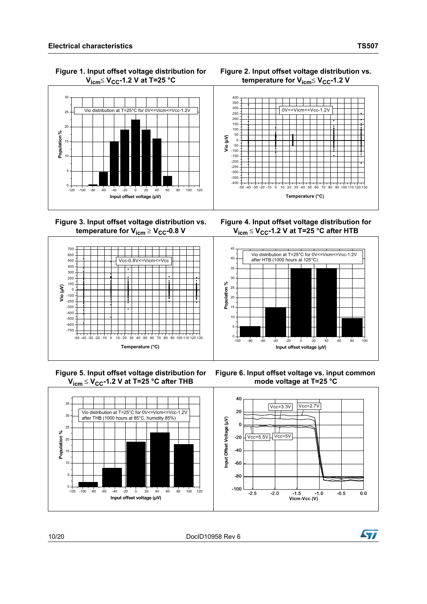

 **Figure 1. Input offset voltage distribution for V**<sub>icm</sub>≤ **V**<sub>CC</sub>-1.2 **V** at T=25 °C





**Figure 3. Input offset voltage distribution vs. temperature for**  $V_{icm} \geq V_{CC}$ **-0.8 V** 



 **Figure 5. Input offset voltage distribution for V**<sub>icm</sub> ≤ **V**<sub>CC</sub>-1.2 V at T=25 °C after THB

**Figure 4. Input offset voltage distribution for V**<sub>icm</sub> ≤ **V**<sub>CC</sub>-1.2 V at T=25 °C after HTB



**Figure 6. Input offset voltage vs. input common mode voltage at T=25 °C**



10/20 DocID10958 Rev 6

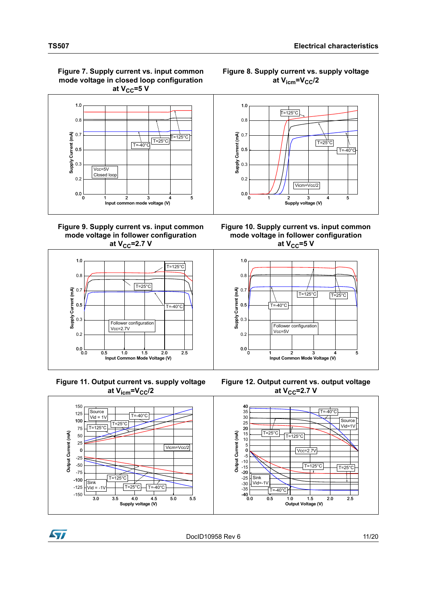**Figure 7. Supply current vs. input common mode voltage in closed loop configuration**  at  $V_{CC}$ =5 V



**Figure 9. Supply current vs. input common mode voltage in follower configuration at V<sub>CC</sub>=2.7 V** 



 **Figure 11. Output current vs. supply voltage**  at V<sub>icm</sub>=V<sub>CC</sub>/2



**Figure 8. Supply current vs. supply voltage**   $at$   $V<sub>icm</sub>=V<sub>CC</sub>/2$ 



**Figure 10. Supply current vs. input common mode voltage in follower configuration at V<sub>CC</sub>=5 V** 



**Figure 12. Output current vs. output voltage at V<sub>CC</sub>=2.7 V** 



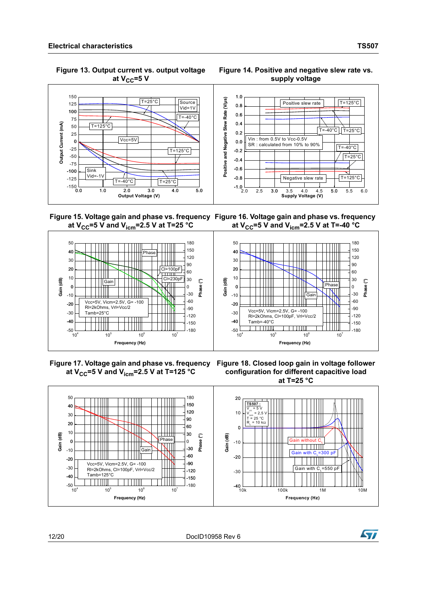**Figure 13. Output current vs. output voltage**  at  $V_{CC}$ =5 V





 **Figure 15. Voltage gain and phase vs. frequency Figure 16. Voltage gain and phase vs. frequency at**  $V_{CC}$ **=5 V and**  $V_{icm}$ **=2.5 V at T=25 °C** at  $V_{CC}$ =5 V and  $V_{icm}$ =2.5 V at T=-40 °C



**Figure 17. Voltage gain and phase vs. frequency Figure 18. Closed loop gain in voltage follower**  at  $V_{CC}$ =5 V and  $V_{icm}$ =2.5 V at T=125 °C

**configuration for different capacitive load at T=25 °C**



12/20 DocID10958 Rev 6

**Syr**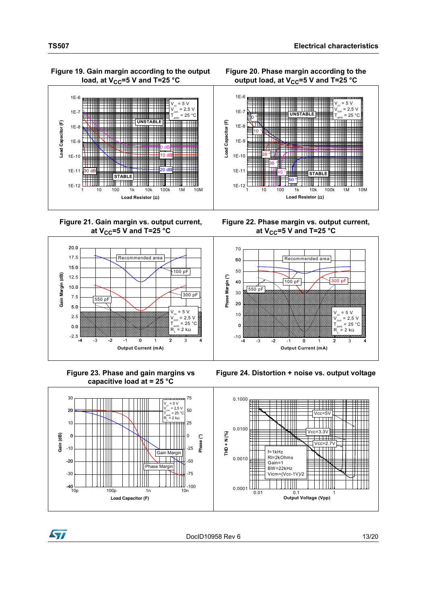#### **Figure 19. Gain margin according to the output**  load, at  $V_{CC}$ =5 V and T=25 °C



**Figure 21. Gain margin vs. output current,**  at  $V_{CC}$ =5 V and T=25 °C

![](_page_12_Figure_4.jpeg)

 **Figure 23. Phase and gain margins vs capacitive load at = 25 °C**

![](_page_12_Figure_6.jpeg)

![](_page_12_Figure_7.jpeg)

**Figure 22. Phase margin vs. output current,**  at  $V_{CC}$ =5 V and T=25 °C

![](_page_12_Figure_9.jpeg)

**Figure 24. Distortion + noise vs. output voltage**

![](_page_12_Figure_11.jpeg)

![](_page_12_Figure_12.jpeg)

![](_page_12_Picture_13.jpeg)

![](_page_12_Picture_14.jpeg)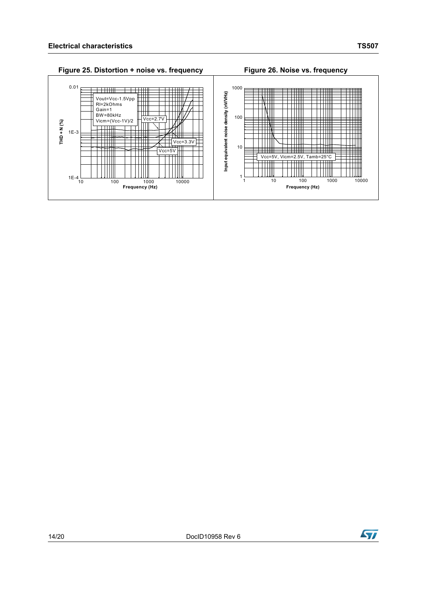![](_page_13_Figure_1.jpeg)

![](_page_13_Picture_4.jpeg)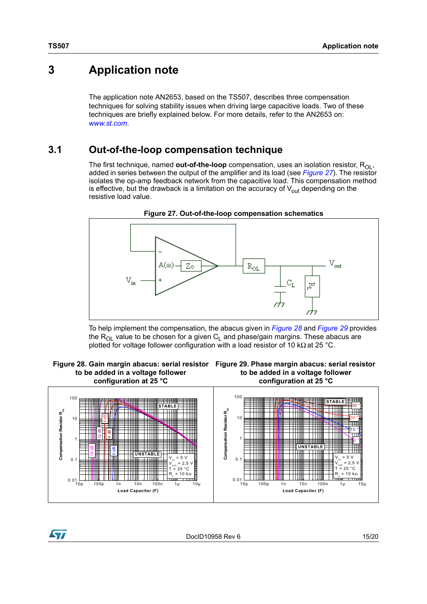## <span id="page-14-0"></span>**3 Application note**

The application note AN2653, based on the TS507, describes three compensation techniques for solving stability issues when driving large capacitive loads. Two of these techniques are briefly explained below. For more details, refer to the AN2653 on: *[www.st.com](http://www.st.com)*.

### <span id="page-14-1"></span>**3.1 Out-of-the-loop compensation technique**

The first technique, named **out-of-the-loop** compensation, uses an isolation resistor, R<sub>OL</sub>, added in series between the output of the amplifier and its load (see *[Figure 27](#page-14-2)*). The resistor isolates the op-amp feedback network from the capacitive load. This compensation method is effective, but the drawback is a limitation on the accuracy of  $V_{out}$  depending on the resistive load value.

<span id="page-14-2"></span>![](_page_14_Figure_5.jpeg)

**Figure 27. Out-of-the-loop compensation schematics**

To help implement the compensation, the abacus given in *[Figure](#page-14-3) 28* and *[Figure](#page-14-4) 29* provides the  $R_{OL}$  value to be chosen for a given  $C_L$  and phase/gain margins. These abacus are plotted for voltage follower configuration with a load resistor of 10 kΩ at 25 °C.

<span id="page-14-3"></span> **Figure 28. Gain margin abacus: serial resistor Figure 29. Phase margin abacus: serial resistor to be added in a voltage follower configuration at 25 °C**

<span id="page-14-4"></span>![](_page_14_Figure_9.jpeg)

![](_page_14_Figure_10.jpeg)

![](_page_14_Picture_11.jpeg)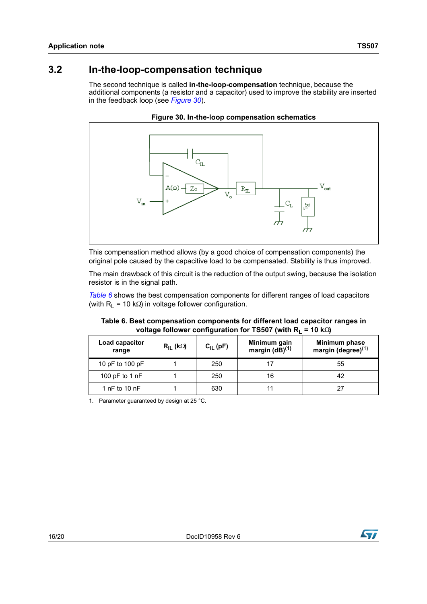### <span id="page-15-0"></span>**3.2 In-the-loop-compensation technique**

The second technique is called **in-the-loop-compensation** technique, because the additional components (a resistor and a capacitor) used to improve the stability are inserted in the feedback loop (see *[Figure 30](#page-15-1)*).

<span id="page-15-1"></span>![](_page_15_Figure_3.jpeg)

**Figure 30. In-the-loop compensation schematics**

This compensation method allows (by a good choice of compensation components) the original pole caused by the capacitive load to be compensated. Stability is thus improved.

The main drawback of this circuit is the reduction of the output swing, because the isolation resistor is in the signal path.

*[Table](#page-15-2) 6* shows the best compensation components for different ranges of load capacitors (with  $R_1$  = 10 kΩ) in voltage follower configuration.

<span id="page-15-2"></span>

| Table 6. Best compensation components for different load capacitor ranges in |
|------------------------------------------------------------------------------|
| voltage follower configuration for TS507 (with $R_L$ = 10 k $\Omega$ )       |

| Load capacitor<br>range | $R_{IL}$ (kΩ) | $C_{IL}$ (pF) | Minimum gain<br>margin $(dB)^{(1)}$ | Minimum phase<br>margin (degree) $(1)$ |
|-------------------------|---------------|---------------|-------------------------------------|----------------------------------------|
| 10 pF to 100 pF         |               | 250           |                                     | 55                                     |
| 100 pF to 1 $nF$        |               | 250           | 16                                  | 42                                     |
| 1 $nF$ to 10 $nF$       |               | 630           |                                     |                                        |

<span id="page-15-3"></span>1. Parameter guaranteed by design at 25 °C.

![](_page_15_Picture_11.jpeg)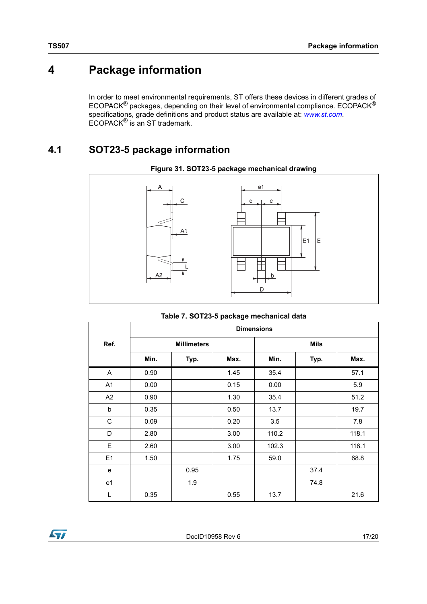# <span id="page-16-0"></span>**4 Package information**

In order to meet environmental requirements, ST offers these devices in different grades of ECOPACK<sup>®</sup> packages, depending on their level of environmental compliance. ECOPACK<sup>®</sup> specifications, grade definitions and product status are available at: *[www.st.com](http://www.st.com)*. ECOPACK® is an ST trademark.

### <span id="page-16-1"></span>**4.1 SOT23-5 package information**

![](_page_16_Figure_4.jpeg)

![](_page_16_Figure_5.jpeg)

|                | <b>Dimensions</b> |                    |      |       |             |       |
|----------------|-------------------|--------------------|------|-------|-------------|-------|
| Ref.           |                   | <b>Millimeters</b> |      |       | <b>Mils</b> |       |
|                | Min.              | Typ.               | Max. | Min.  | Typ.        | Max.  |
| A              | 0.90              |                    | 1.45 | 35.4  |             | 57.1  |
| A <sub>1</sub> | 0.00              |                    | 0.15 | 0.00  |             | 5.9   |
| A <sub>2</sub> | 0.90              |                    | 1.30 | 35.4  |             | 51.2  |
| b              | 0.35              |                    | 0.50 | 13.7  |             | 19.7  |
| C              | 0.09              |                    | 0.20 | 3.5   |             | 7.8   |
| D              | 2.80              |                    | 3.00 | 110.2 |             | 118.1 |
| E              | 2.60              |                    | 3.00 | 102.3 |             | 118.1 |
| E1             | 1.50              |                    | 1.75 | 59.0  |             | 68.8  |
| e              |                   | 0.95               |      |       | 37.4        |       |
| e <sub>1</sub> |                   | 1.9                |      |       | 74.8        |       |
| L              | 0.35              |                    | 0.55 | 13.7  |             | 21.6  |

![](_page_16_Picture_8.jpeg)

DocID10958 Rev 6 17/20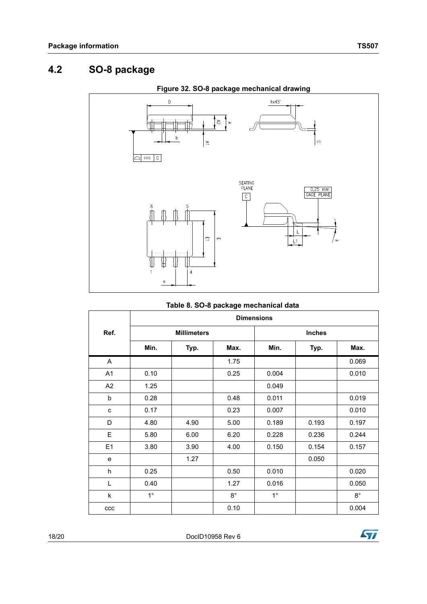### <span id="page-17-0"></span>**4.2 SO-8 package**

![](_page_17_Figure_2.jpeg)

| Table 8. SO-8 package mechanical data |  |
|---------------------------------------|--|
|---------------------------------------|--|

|                | <b>Dimensions</b>  |      |             |               |       |             |
|----------------|--------------------|------|-------------|---------------|-------|-------------|
| Ref.           | <b>Millimeters</b> |      |             | <b>Inches</b> |       |             |
|                | Min.               | Typ. | Max.        | Min.          | Typ.  | Max.        |
| A              |                    |      | 1.75        |               |       | 0.069       |
| A1             | 0.10               |      | 0.25        | 0.004         |       | 0.010       |
| A2             | 1.25               |      |             | 0.049         |       |             |
| b              | 0.28               |      | 0.48        | 0.011         |       | 0.019       |
| C              | 0.17               |      | 0.23        | 0.007         |       | 0.010       |
| D              | 4.80               | 4.90 | 5.00        | 0.189         | 0.193 | 0.197       |
| E              | 5.80               | 6.00 | 6.20        | 0.228         | 0.236 | 0.244       |
| E <sub>1</sub> | 3.80               | 3.90 | 4.00        | 0.150         | 0.154 | 0.157       |
| e              |                    | 1.27 |             |               | 0.050 |             |
| h              | 0.25               |      | 0.50        | 0.010         |       | 0.020       |
| L              | 0.40               |      | 1.27        | 0.016         |       | 0.050       |
| k              | $1^{\circ}$        |      | $8^{\circ}$ | $1^{\circ}$   |       | $8^{\circ}$ |
| ccc            |                    |      | 0.10        |               |       | 0.004       |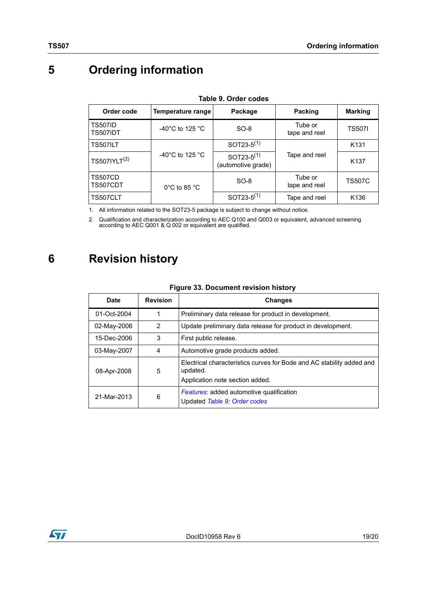# <span id="page-18-0"></span>**5 Ordering information**

<span id="page-18-2"></span>

| ianie J. Oruer coues              |                                      |                                        |                          |                  |  |  |
|-----------------------------------|--------------------------------------|----------------------------------------|--------------------------|------------------|--|--|
| Order code                        | Temperature range                    | Package                                | Packing                  | <b>Marking</b>   |  |  |
| <b>TS507ID</b><br><b>TS507IDT</b> | -40 $^{\circ}$ C to 125 $^{\circ}$ C | $SO-8$                                 | Tube or<br>tape and reel | <b>TS507I</b>    |  |  |
| <b>TS507ILT</b>                   |                                      | SOT23- $5^{(1)}$                       |                          | K <sub>131</sub> |  |  |
| TS507IYLT <sup>(2)</sup>          | -40 $^{\circ}$ C to 125 $^{\circ}$ C | SOT23- $5^{(1)}$<br>(automotive grade) | Tape and reel            | K <sub>137</sub> |  |  |
| <b>TS507CD</b><br>TS507CDT        | $0^{\circ}$ C to 85 $^{\circ}$ C     | $SO-8$                                 | Tube or<br>tape and reel | <b>TS507C</b>    |  |  |
| TS507CLT                          |                                      | SOT23- $5^{(1)}$                       | Tape and reel            | K <sub>136</sub> |  |  |

**Table 9. Order codes**

<span id="page-18-3"></span>1. All information related to the SOT23-5 package is subject to change without notice.

2. Qualification and characterization according to AEC Q100 and Q003 or equivalent, advanced screening according to AEC Q001 & Q 002 or equivalent are qualified.

# <span id="page-18-1"></span>**6 Revision history**

#### **Figure 33. Document revision history**

| Date        | <b>Revision</b> | <b>Changes</b>                                                                                                       |
|-------------|-----------------|----------------------------------------------------------------------------------------------------------------------|
| 01-Oct-2004 | 1               | Preliminary data release for product in development.                                                                 |
| 02-May-2006 | 2               | Update preliminary data release for product in development.                                                          |
| 15-Dec-2006 | 3               | First public release.                                                                                                |
| 03-May-2007 | 4               | Automotive grade products added.                                                                                     |
| 08-Apr-2008 | 5               | Electrical characteristics curves for Bode and AC stability added and<br>updated.<br>Application note section added. |
| 21-Mar-2013 | 6               | <b>Features:</b> added automotive qualification<br>Updated Table 9: Order codes                                      |

![](_page_18_Picture_10.jpeg)